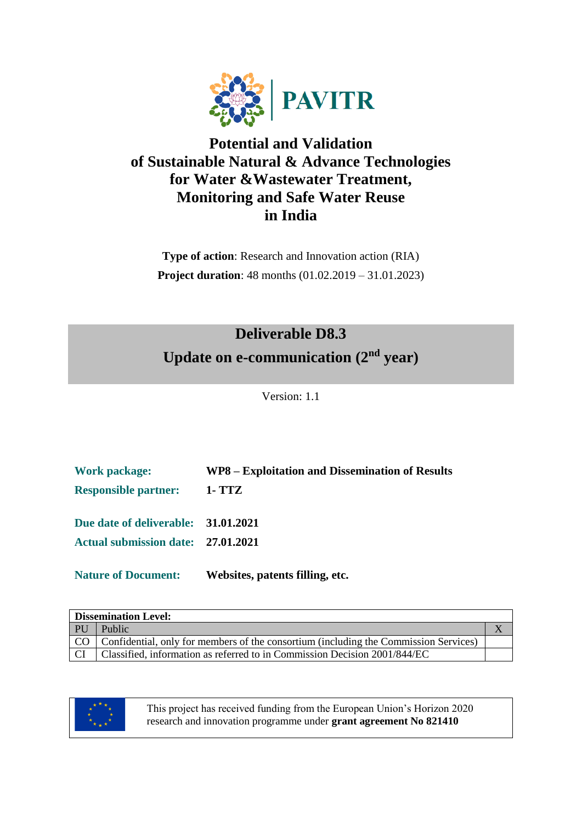

## **Potential and Validation of Sustainable Natural & Advance Technologies for Water &Wastewater Treatment, Monitoring and Safe Water Reuse in India**

**Type of action**: Research and Innovation action (RIA) **Project duration**: 48 months (01.02.2019 – 31.01.2023)

# **Deliverable D8.3** Update on e-communication (2<sup>nd</sup> year)

Version: 1.1

| <b>Work package:</b>                | WP8 – Exploitation and Dissemination of Results |
|-------------------------------------|-------------------------------------------------|
| <b>Responsible partner:</b>         | <b>1- TTZ</b>                                   |
| Due date of deliverable: 31.01.2021 |                                                 |
| Actual submission date: 27.01.2021  |                                                 |
| <b>Nature of Document:</b>          | Websites, patents filling, etc.                 |

|    | <b>Dissemination Level:</b>                                                               |  |
|----|-------------------------------------------------------------------------------------------|--|
| PU | Public                                                                                    |  |
|    | CO   Confidential, only for members of the consortium (including the Commission Services) |  |
|    | Classified, information as referred to in Commission Decision 2001/844/EC                 |  |



This project has received funding from the European Union's Horizon 2020 research and innovation programme under **grant agreement No 821410**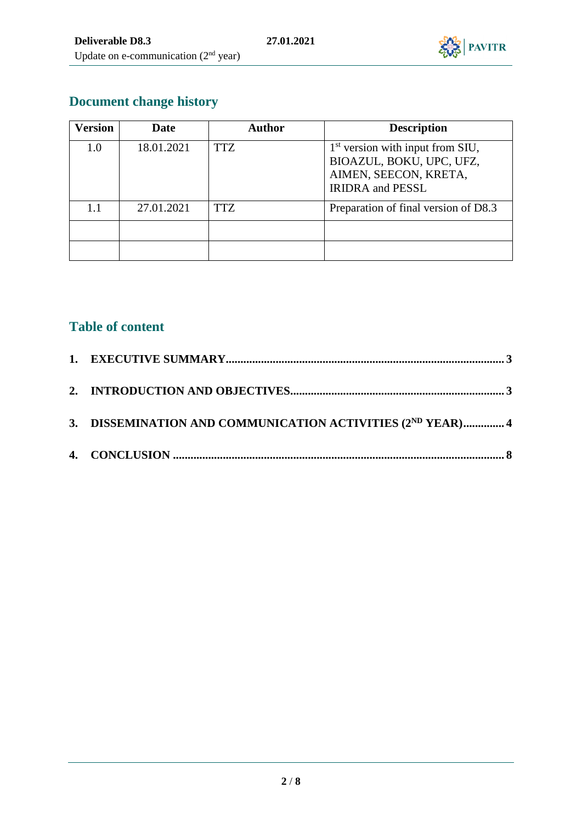

# **Document change history**

| Version | Date       | <b>Author</b> | <b>Description</b>                                                                                                 |
|---------|------------|---------------|--------------------------------------------------------------------------------------------------------------------|
| 1.0     | 18.01.2021 | <b>TTZ</b>    | $1st$ version with input from SIU,<br>BIOAZUL, BOKU, UPC, UFZ,<br>AIMEN, SEECON, KRETA,<br><b>IRIDRA</b> and PESSL |
| 1.1     | 27.01.2021 | <b>TTZ</b>    | Preparation of final version of D8.3                                                                               |
|         |            |               |                                                                                                                    |

#### **Table of content**

| 3. DISSEMINATION AND COMMUNICATION ACTIVITIES (2ND YEAR) 4 |  |
|------------------------------------------------------------|--|
|                                                            |  |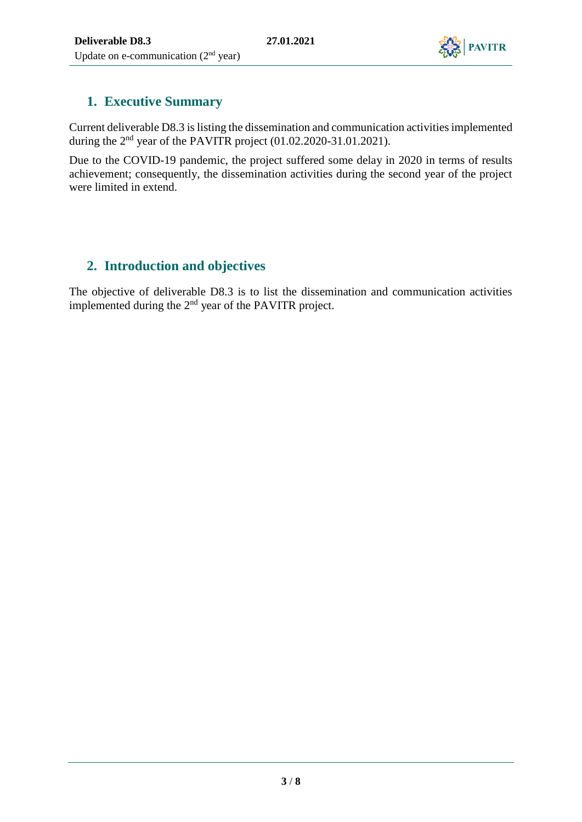

#### <span id="page-2-0"></span>**1. Executive Summary**

Current deliverable D8.3 is listing the dissemination and communication activities implemented during the  $2<sup>nd</sup>$  year of the PAVITR project (01.02.2020-31.01.2021).

Due to the COVID-19 pandemic, the project suffered some delay in 2020 in terms of results achievement; consequently, the dissemination activities during the second year of the project were limited in extend.

#### <span id="page-2-1"></span>**2. Introduction and objectives**

The objective of deliverable D8.3 is to list the dissemination and communication activities implemented during the 2nd year of the PAVITR project.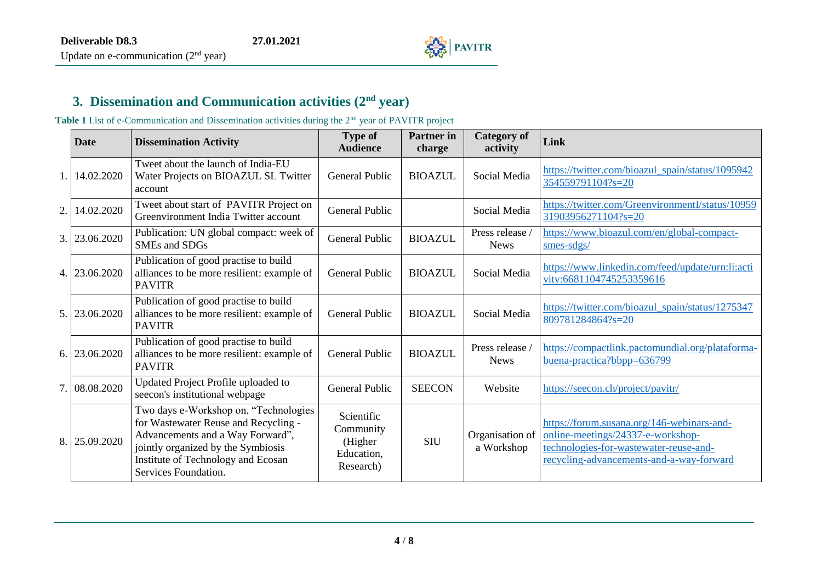

#### **3. Dissemination and Communication activities (2 nd year)**

Table 1 List of e-Communication and Dissemination activities during the 2<sup>nd</sup> year of PAVITR project

<span id="page-3-0"></span>

|     | Date          | <b>Dissemination Activity</b>                                                                                                                                                                                         | <b>Type of</b><br><b>Audience</b>                             | <b>Partner</b> in<br>charge | <b>Category of</b><br>activity | Link                                                                                                                                                                  |
|-----|---------------|-----------------------------------------------------------------------------------------------------------------------------------------------------------------------------------------------------------------------|---------------------------------------------------------------|-----------------------------|--------------------------------|-----------------------------------------------------------------------------------------------------------------------------------------------------------------------|
| 1.1 | 14.02.2020    | Tweet about the launch of India-EU<br>Water Projects on BIOAZUL SL Twitter<br>account                                                                                                                                 | <b>General Public</b>                                         | <b>BIOAZUL</b>              | Social Media                   | https://twitter.com/bioazul_spain/status/1095942<br>354559791104?s=20                                                                                                 |
| 2.  | 14.02.2020    | Tweet about start of PAVITR Project on<br>Greenvironment India Twitter account                                                                                                                                        | <b>General Public</b>                                         |                             | Social Media                   | https://twitter.com/GreenvironmentI/status/10959<br>31903956271104?s=20                                                                                               |
| 3.  | 23.06.2020    | Publication: UN global compact: week of<br>SMEs and SDGs                                                                                                                                                              | <b>General Public</b>                                         | <b>BIOAZUL</b>              | Press release /<br><b>News</b> | https://www.bioazul.com/en/global-compact-<br>smes-sdgs/                                                                                                              |
|     | 4. 23.06.2020 | Publication of good practise to build<br>alliances to be more resilient: example of<br><b>PAVITR</b>                                                                                                                  | <b>General Public</b>                                         | <b>BIOAZUL</b>              | Social Media                   | https://www.linkedin.com/feed/update/urn:li:acti<br>vity:6681104745253359616                                                                                          |
| 5.1 | 23.06.2020    | Publication of good practise to build<br>alliances to be more resilient: example of<br><b>PAVITR</b>                                                                                                                  | <b>General Public</b>                                         | <b>BIOAZUL</b>              | Social Media                   | https://twitter.com/bioazul_spain/status/1275347<br>809781284864?s=20                                                                                                 |
| 6.1 | 23.06.2020    | Publication of good practise to build<br>alliances to be more resilient: example of<br><b>PAVITR</b>                                                                                                                  | <b>General Public</b>                                         | <b>BIOAZUL</b>              | Press release<br><b>News</b>   | https://compactlink.pactomundial.org/plataforma-<br>buena-practica?bbpp=636799                                                                                        |
| 7.1 | 08.08.2020    | Updated Project Profile uploaded to<br>seecon's institutional webpage                                                                                                                                                 | <b>General Public</b>                                         | <b>SEECON</b>               | Website                        | https://seecon.ch/project/pavitr/                                                                                                                                     |
| 8.  | 25.09.2020    | Two days e-Workshop on, "Technologies<br>for Wastewater Reuse and Recycling -<br>Advancements and a Way Forward",<br>jointly organized by the Symbiosis<br>Institute of Technology and Ecosan<br>Services Foundation. | Scientific<br>Community<br>(Higher<br>Education,<br>Research) | <b>SIU</b>                  | Organisation of<br>a Workshop  | https://forum.susana.org/146-webinars-and-<br>online-meetings/24337-e-workshop-<br>technologies-for-wastewater-reuse-and-<br>recycling-advancements-and-a-way-forward |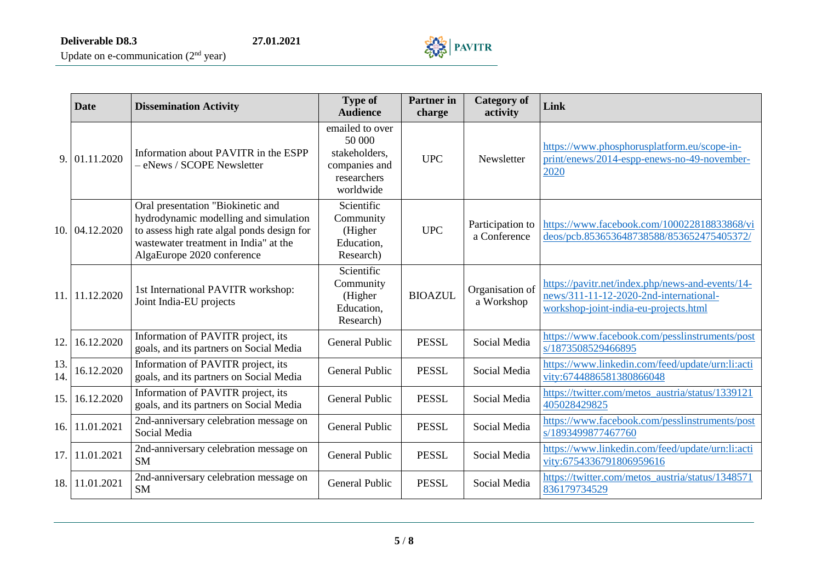

Update on e-communication  $(2<sup>nd</sup>$  year)

|            | Date           | <b>Dissemination Activity</b>                                                                                                                                                                   | <b>Type of</b><br><b>Audience</b>                                                       | <b>Partner</b> in<br>charge | <b>Category of</b><br>activity   | Link                                                                                                                                |
|------------|----------------|-------------------------------------------------------------------------------------------------------------------------------------------------------------------------------------------------|-----------------------------------------------------------------------------------------|-----------------------------|----------------------------------|-------------------------------------------------------------------------------------------------------------------------------------|
| 9.1        | 01.11.2020     | Information about PAVITR in the ESPP<br>- eNews / SCOPE Newsletter                                                                                                                              | emailed to over<br>50 000<br>stakeholders,<br>companies and<br>researchers<br>worldwide | <b>UPC</b>                  | Newsletter                       | https://www.phosphorusplatform.eu/scope-in-<br>print/enews/2014-espp-enews-no-49-november-<br>2020                                  |
|            | 10. 04.12.2020 | Oral presentation "Biokinetic and<br>hydrodynamic modelling and simulation<br>to assess high rate algal ponds design for<br>wastewater treatment in India" at the<br>AlgaEurope 2020 conference | Scientific<br>Community<br>(Higher<br>Education,<br>Research)                           | <b>UPC</b>                  | Participation to<br>a Conference | https://www.facebook.com/100022818833868/vi<br>deos/pcb.853653648738588/853652475405372/                                            |
|            | 11. 11.12.2020 | 1st International PAVITR workshop:<br>Joint India-EU projects                                                                                                                                   | Scientific<br>Community<br>(Higher<br>Education,<br>Research)                           | <b>BIOAZUL</b>              | Organisation of<br>a Workshop    | https://pavitr.net/index.php/news-and-events/14-<br>news/311-11-12-2020-2nd-international-<br>workshop-joint-india-eu-projects.html |
| 12.1       | 16.12.2020     | Information of PAVITR project, its<br>goals, and its partners on Social Media                                                                                                                   | <b>General Public</b>                                                                   | <b>PESSL</b>                | Social Media                     | https://www.facebook.com/pesslinstruments/post<br>s/1873508529466895                                                                |
| 13.<br>14. | 16.12.2020     | Information of PAVITR project, its<br>goals, and its partners on Social Media                                                                                                                   | <b>General Public</b>                                                                   | <b>PESSL</b>                | Social Media                     | https://www.linkedin.com/feed/update/urn:li:acti<br>vity:6744886581380866048                                                        |
| 15.1       | 16.12.2020     | Information of PAVITR project, its<br>goals, and its partners on Social Media                                                                                                                   | <b>General Public</b>                                                                   | <b>PESSL</b>                | Social Media                     | https://twitter.com/metos_austria/status/1339121<br>405028429825                                                                    |
|            | 16. 11.01.2021 | 2nd-anniversary celebration message on<br>Social Media                                                                                                                                          | <b>General Public</b>                                                                   | <b>PESSL</b>                | Social Media                     | https://www.facebook.com/pesslinstruments/post<br>s/1893499877467760                                                                |
| 17.1       | 11.01.2021     | 2nd-anniversary celebration message on<br><b>SM</b>                                                                                                                                             | <b>General Public</b>                                                                   | <b>PESSL</b>                | Social Media                     | https://www.linkedin.com/feed/update/urn:li:acti<br>vity:6754336791806959616                                                        |
|            | 18. 11.01.2021 | 2nd-anniversary celebration message on<br><b>SM</b>                                                                                                                                             | <b>General Public</b>                                                                   | <b>PESSL</b>                | Social Media                     | https://twitter.com/metos_austria/status/1348571<br>836179734529                                                                    |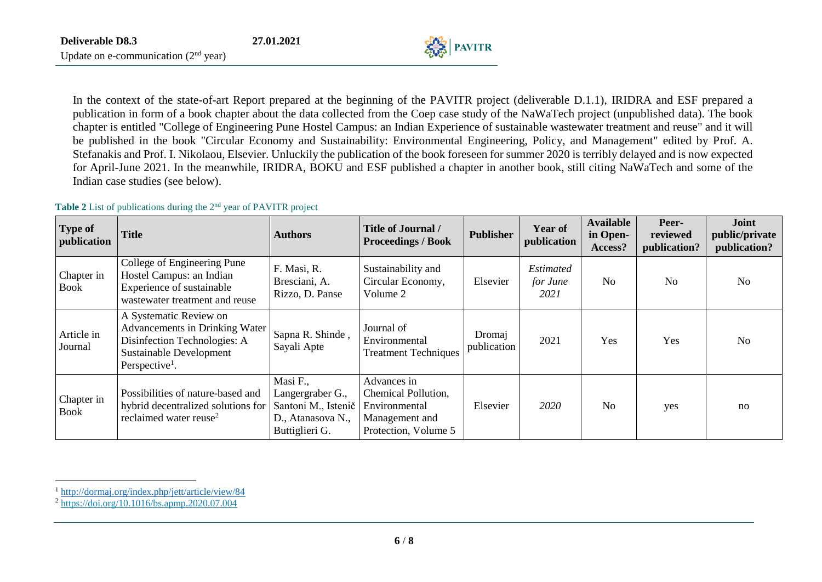In the context of the state-of-art Report prepared at the beginning of the PAVITR project (deliverable D.1.1), IRIDRA and ESF prepared a publication in form of a book chapter about the data collected from the Coep case study of the NaWaTech project (unpublished data). The book chapter is entitled "College of Engineering Pune Hostel Campus: an Indian Experience of sustainable wastewater treatment and reuse" and it will be published in the book "Circular Economy and Sustainability: Environmental Engineering, Policy, and Management" edited by Prof. A. Stefanakis and Prof. I. Nikolaou, Elsevier. Unluckily the publication of the book foreseen for summer 2020 is terribly delayed and is now expected for April-June 2021. In the meanwhile, IRIDRA, BOKU and ESF published a chapter in another book, still citing NaWaTech and some of the Indian case studies (see below).

 $\mathbb{Z}^3$  PAVITR

#### Table 2 List of publications during the 2<sup>nd</sup> year of PAVITR project

| <b>Type of</b><br>publication | <b>Title</b>                                                                                                                                             | <b>Authors</b>                                                                             | <b>Title of Journal /</b><br><b>Proceedings / Book</b>                                        | <b>Publisher</b>      | <b>Year of</b><br>publication        | <b>Available</b><br>in Open-<br>Access? | Peer-<br>reviewed<br>publication? | Joint<br>public/private<br>publication? |
|-------------------------------|----------------------------------------------------------------------------------------------------------------------------------------------------------|--------------------------------------------------------------------------------------------|-----------------------------------------------------------------------------------------------|-----------------------|--------------------------------------|-----------------------------------------|-----------------------------------|-----------------------------------------|
| Chapter in<br><b>Book</b>     | College of Engineering Pune<br>Hostel Campus: an Indian<br>Experience of sustainable<br>wastewater treatment and reuse                                   | F. Masi, R.<br>Bresciani, A.<br>Rizzo, D. Panse                                            | Sustainability and<br>Circular Economy,<br>Volume 2                                           | Elsevier              | <b>Estimated</b><br>for June<br>2021 | N <sub>0</sub>                          | No.                               | N <sub>o</sub>                          |
| Article in<br>Journal         | A Systematic Review on<br>Advancements in Drinking Water<br>Disinfection Technologies: A<br><b>Sustainable Development</b><br>Perspective <sup>1</sup> . | Sapna R. Shinde,<br>Sayali Apte                                                            | Journal of<br>Environmental<br><b>Treatment Techniques</b>                                    | Dromaj<br>publication | 2021                                 | Yes                                     | Yes                               | N <sub>o</sub>                          |
| Chapter in<br><b>Book</b>     | Possibilities of nature-based and<br>hybrid decentralized solutions for<br>reclaimed water reuse <sup>2</sup>                                            | Masi F.,<br>Langergraber G.,<br>Santoni M., Istenič<br>D., Atanasova N.,<br>Buttiglieri G. | Advances in<br>Chemical Pollution,<br>Environmental<br>Management and<br>Protection, Volume 5 | Elsevier              | 2020                                 | N <sub>o</sub>                          | yes                               | no                                      |

 $\overline{\phantom{a}}$ <sup>1</sup> <http://dormaj.org/index.php/jett/article/view/84>

<sup>2</sup> <https://doi.org/10.1016/bs.apmp.2020.07.004>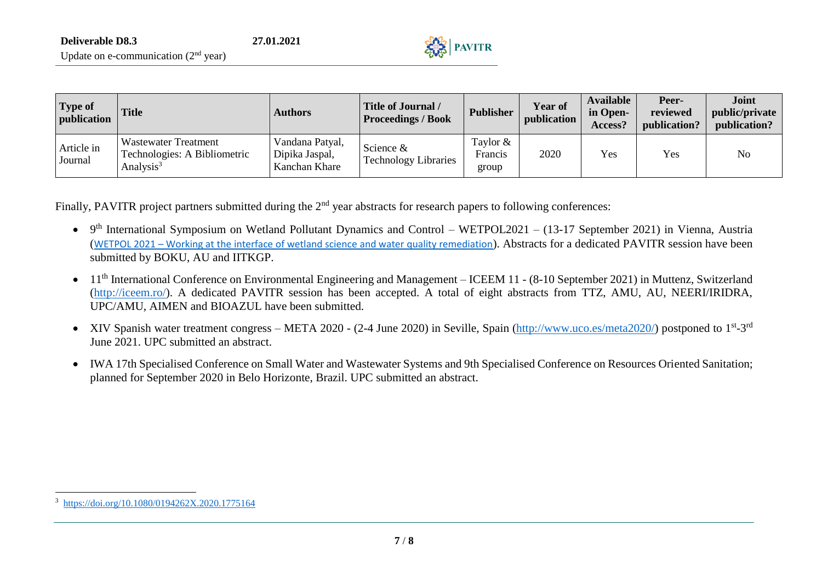| <b>Type of</b><br>publication | <b>Title</b>                                                                         | <b>Authors</b>                                     | <b>Title of Journal /</b><br><b>Proceedings / Book</b> | <b>Publisher</b>               | <b>Year of</b><br>publication | <b>Available</b><br>in Open-<br>Access? | Peer-<br>reviewed<br>publication? | <b>Joint</b><br>public/private<br>publication? |
|-------------------------------|--------------------------------------------------------------------------------------|----------------------------------------------------|--------------------------------------------------------|--------------------------------|-------------------------------|-----------------------------------------|-----------------------------------|------------------------------------------------|
| Article in<br>Journal         | <b>Wastewater Treatment</b><br>Technologies: A Bibliometric<br>Analysis <sup>3</sup> | Vandana Patyal,<br>Dipika Jaspal,<br>Kanchan Khare | Science $\&$<br><b>Technology Libraries</b>            | Taylor $&$<br>Francis<br>group | 2020                          | Yes                                     | <b>Yes</b>                        | No                                             |

Finally, PAVITR project partners submitted during the 2<sup>nd</sup> year abstracts for research papers to following conferences:

- 9<sup>th</sup> International Symposium on Wetland Pollutant Dynamics and Control WETPOL2021 (13-17 September 2021) in Vienna, Austria (WETPOL 2021 – [Working at the interface of wetland science and water quality remediation](http://wetpol.com/)). Abstracts for a dedicated PAVITR session have been submitted by BOKU, AU and IITKGP.
- 11<sup>th</sup> International Conference on Environmental Engineering and Management ICEEM 11 (8-10 September 2021) in Muttenz, Switzerland [\(http://iceem.ro/\)](http://iceem.ro/). A dedicated PAVITR session has been accepted. A total of eight abstracts from TTZ, AMU, AU, NEERI/IRIDRA, UPC/AMU, AIMEN and BIOAZUL have been submitted.
- XIV Spanish water treatment congress META 2020 (2-4 June 2020) in Seville, Spain [\(http://www.uco.es/meta2020/\)](http://www.uco.es/meta2020/) postponed to 1<sup>st</sup>-3<sup>rd</sup> June 2021. UPC submitted an abstract.
- IWA 17th Specialised Conference on Small Water and Wastewater Systems and 9th Specialised Conference on Resources Oriented Sanitation; planned for September 2020 in Belo Horizonte, Brazil. UPC submitted an abstract.

 $\overline{a}$ <sup>3</sup> <https://doi.org/10.1080/0194262X.2020.1775164>